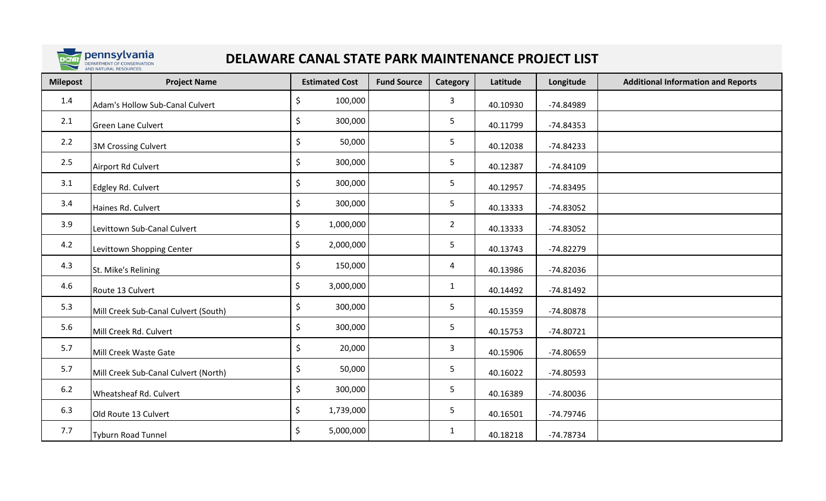

## **DELAWARE CANAL STATE PARK MAINTENANCE PROJECT LIST**

| <b>Milepost</b> | <b>Project Name</b>                  | <b>Estimated Cost</b> | <b>Fund Source</b> | Category       | Latitude | Longitude   | <b>Additional Information and Reports</b> |
|-----------------|--------------------------------------|-----------------------|--------------------|----------------|----------|-------------|-------------------------------------------|
| 1.4             | Adam's Hollow Sub-Canal Culvert      | \$<br>100,000         |                    | 3              | 40.10930 | -74.84989   |                                           |
| 2.1             | <b>Green Lane Culvert</b>            | \$<br>300,000         |                    | 5              | 40.11799 | $-74.84353$ |                                           |
| 2.2             | <b>3M Crossing Culvert</b>           | \$<br>50,000          |                    | 5              | 40.12038 | $-74.84233$ |                                           |
| 2.5             | Airport Rd Culvert                   | \$<br>300,000         |                    | 5              | 40.12387 | $-74.84109$ |                                           |
| 3.1             | Edgley Rd. Culvert                   | \$<br>300,000         |                    | 5              | 40.12957 | $-74.83495$ |                                           |
| 3.4             | Haines Rd. Culvert                   | \$<br>300,000         |                    | 5              | 40.13333 | $-74.83052$ |                                           |
| 3.9             | Levittown Sub-Canal Culvert          | \$<br>1,000,000       |                    | $\overline{2}$ | 40.13333 | $-74.83052$ |                                           |
| 4.2             | Levittown Shopping Center            | \$<br>2,000,000       |                    | 5              | 40.13743 | $-74.82279$ |                                           |
| 4.3             | St. Mike's Relining                  | \$<br>150,000         |                    | 4              | 40.13986 | $-74.82036$ |                                           |
| 4.6             | Route 13 Culvert                     | \$<br>3,000,000       |                    | $\mathbf{1}$   | 40.14492 | $-74.81492$ |                                           |
| 5.3             | Mill Creek Sub-Canal Culvert (South) | \$<br>300,000         |                    | 5              | 40.15359 | $-74.80878$ |                                           |
| 5.6             | Mill Creek Rd. Culvert               | \$<br>300,000         |                    | 5              | 40.15753 | $-74.80721$ |                                           |
| 5.7             | Mill Creek Waste Gate                | \$<br>20,000          |                    | 3              | 40.15906 | $-74.80659$ |                                           |
| 5.7             | Mill Creek Sub-Canal Culvert (North) | \$<br>50,000          |                    | 5              | 40.16022 | $-74.80593$ |                                           |
| $6.2$           | Wheatsheaf Rd. Culvert               | \$<br>300,000         |                    | 5              | 40.16389 | $-74.80036$ |                                           |
| 6.3             | Old Route 13 Culvert                 | \$<br>1,739,000       |                    | 5              | 40.16501 | $-74.79746$ |                                           |
| 7.7             | <b>Tyburn Road Tunnel</b>            | \$<br>5,000,000       |                    | $\mathbf{1}$   | 40.18218 | $-74.78734$ |                                           |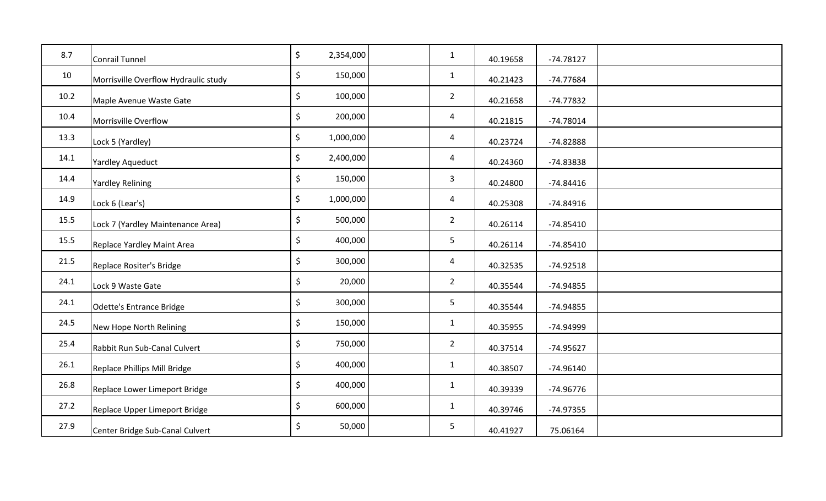| 8.7  | <b>Conrail Tunnel</b>                | $\zeta$<br>2,354,000 | $\mathbf{1}$   | 40.19658 | $-74.78127$ |  |
|------|--------------------------------------|----------------------|----------------|----------|-------------|--|
| 10   | Morrisville Overflow Hydraulic study | $\zeta$<br>150,000   | $\mathbf{1}$   | 40.21423 | $-74.77684$ |  |
| 10.2 | Maple Avenue Waste Gate              | \$<br>100,000        | $\overline{2}$ | 40.21658 | $-74.77832$ |  |
| 10.4 | Morrisville Overflow                 | \$<br>200,000        | $\overline{4}$ | 40.21815 | $-74.78014$ |  |
| 13.3 | Lock 5 (Yardley)                     | \$<br>1,000,000      | 4              | 40.23724 | $-74.82888$ |  |
| 14.1 | Yardley Aqueduct                     | \$<br>2,400,000      | 4              | 40.24360 | $-74.83838$ |  |
| 14.4 | <b>Yardley Relining</b>              | \$<br>150,000        | $\mathbf{3}$   | 40.24800 | $-74.84416$ |  |
| 14.9 | Lock 6 (Lear's)                      | \$<br>1,000,000      | $\overline{4}$ | 40.25308 | $-74.84916$ |  |
| 15.5 | Lock 7 (Yardley Maintenance Area)    | $\zeta$<br>500,000   | $\overline{2}$ | 40.26114 | $-74.85410$ |  |
| 15.5 | Replace Yardley Maint Area           | $\zeta$<br>400,000   | 5              | 40.26114 | $-74.85410$ |  |
| 21.5 | Replace Rositer's Bridge             | \$<br>300,000        | $\overline{4}$ | 40.32535 | $-74.92518$ |  |
| 24.1 | Lock 9 Waste Gate                    | \$<br>20,000         | $\overline{2}$ | 40.35544 | $-74.94855$ |  |
| 24.1 | <b>Odette's Entrance Bridge</b>      | \$<br>300,000        | 5 <sub>1</sub> | 40.35544 | $-74.94855$ |  |
| 24.5 | New Hope North Relining              | \$<br>150,000        | $\mathbf{1}$   | 40.35955 | -74.94999   |  |
| 25.4 | Rabbit Run Sub-Canal Culvert         | \$<br>750,000        | $\overline{2}$ | 40.37514 | $-74.95627$ |  |
| 26.1 | Replace Phillips Mill Bridge         | $\zeta$<br>400,000   | $\mathbf{1}$   | 40.38507 | $-74.96140$ |  |
| 26.8 | Replace Lower Limeport Bridge        | $\zeta$<br>400,000   | $\mathbf{1}$   | 40.39339 | $-74.96776$ |  |
| 27.2 | Replace Upper Limeport Bridge        | $\zeta$<br>600,000   | $\mathbf{1}$   | 40.39746 | $-74.97355$ |  |
| 27.9 | Center Bridge Sub-Canal Culvert      | \$<br>50,000         | 5              | 40.41927 | 75.06164    |  |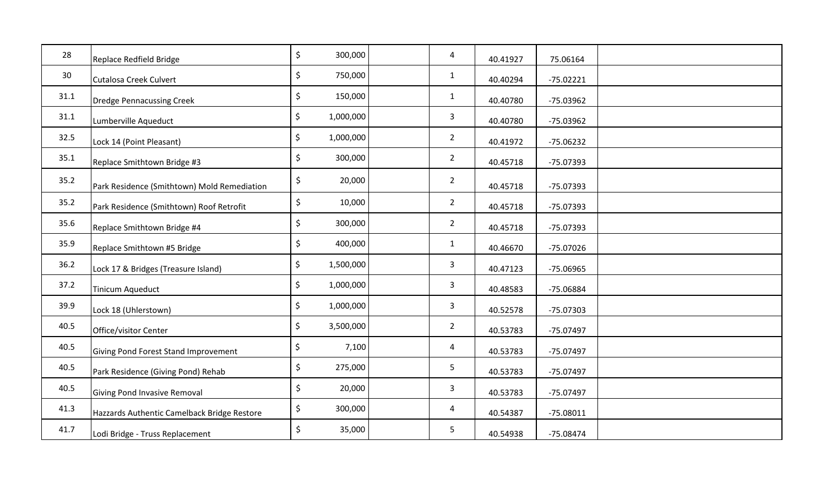| 28   | Replace Redfield Bridge                     | \$<br>300,000   | 4                       | 40.41927 | 75.06164    |  |
|------|---------------------------------------------|-----------------|-------------------------|----------|-------------|--|
| 30   | <b>Cutalosa Creek Culvert</b>               | \$<br>750,000   | $\mathbf{1}$            | 40.40294 | $-75.02221$ |  |
| 31.1 | <b>Dredge Pennacussing Creek</b>            | \$<br>150,000   | $\mathbf{1}$            | 40.40780 | $-75.03962$ |  |
| 31.1 | Lumberville Aqueduct                        | \$<br>1,000,000 | 3                       | 40.40780 | $-75.03962$ |  |
| 32.5 | Lock 14 (Point Pleasant)                    | \$<br>1,000,000 | $\overline{2}$          | 40.41972 | $-75.06232$ |  |
| 35.1 | Replace Smithtown Bridge #3                 | \$<br>300,000   | $\overline{2}$          | 40.45718 | $-75.07393$ |  |
| 35.2 | Park Residence (Smithtown) Mold Remediation | \$<br>20,000    | $\overline{2}$          | 40.45718 | $-75.07393$ |  |
| 35.2 | Park Residence (Smithtown) Roof Retrofit    | \$<br>10,000    | $2^{\circ}$             | 40.45718 | $-75.07393$ |  |
| 35.6 | Replace Smithtown Bridge #4                 | \$<br>300,000   | $2^{\circ}$             | 40.45718 | $-75.07393$ |  |
| 35.9 | Replace Smithtown #5 Bridge                 | \$<br>400,000   | $\mathbf{1}$            | 40.46670 | $-75.07026$ |  |
| 36.2 | Lock 17 & Bridges (Treasure Island)         | \$<br>1,500,000 | 3                       | 40.47123 | $-75.06965$ |  |
| 37.2 | <b>Tinicum Aqueduct</b>                     | \$<br>1,000,000 | $\mathbf{3}$            | 40.48583 | -75.06884   |  |
| 39.9 | Lock 18 (Uhlerstown)                        | \$<br>1,000,000 | $\mathbf{3}$            | 40.52578 | $-75.07303$ |  |
| 40.5 | Office/visitor Center                       | \$<br>3,500,000 | $\overline{2}$          | 40.53783 | $-75.07497$ |  |
| 40.5 | Giving Pond Forest Stand Improvement        | \$<br>7,100     | 4                       | 40.53783 | $-75.07497$ |  |
| 40.5 | Park Residence (Giving Pond) Rehab          | \$<br>275,000   | 5                       | 40.53783 | $-75.07497$ |  |
| 40.5 | Giving Pond Invasive Removal                | \$<br>20,000    | $\mathbf{3}$            | 40.53783 | $-75.07497$ |  |
| 41.3 | Hazzards Authentic Camelback Bridge Restore | \$<br>300,000   | $\overline{\mathbf{4}}$ | 40.54387 | $-75.08011$ |  |
| 41.7 | Lodi Bridge - Truss Replacement             | \$<br>35,000    | 5                       | 40.54938 | $-75.08474$ |  |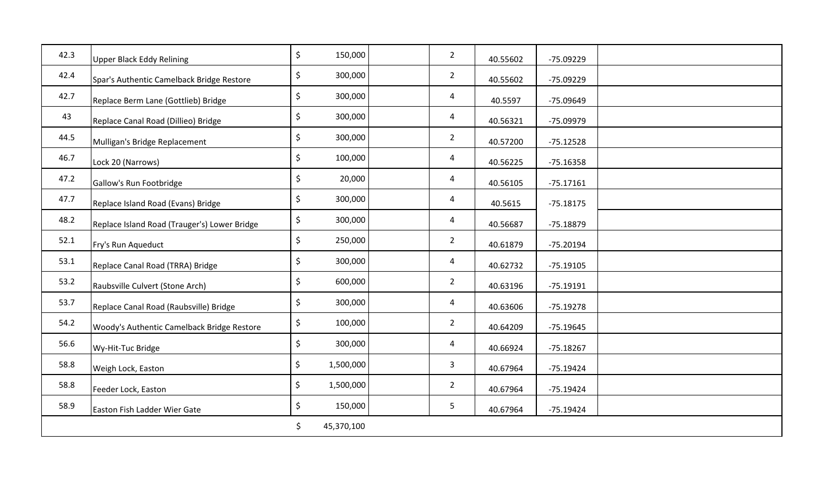| 42.3 | <b>Upper Black Eddy Relining</b>             | $\zeta$<br>150,000   | $\overline{2}$ | 40.55602 | -75.09229   |  |
|------|----------------------------------------------|----------------------|----------------|----------|-------------|--|
| 42.4 | Spar's Authentic Camelback Bridge Restore    | $\zeta$<br>300,000   | $\overline{2}$ | 40.55602 | $-75.09229$ |  |
| 42.7 | Replace Berm Lane (Gottlieb) Bridge          | \$<br>300,000        | 4              | 40.5597  | -75.09649   |  |
| 43   | Replace Canal Road (Dillieo) Bridge          | \$<br>300,000        | $\overline{4}$ | 40.56321 | -75.09979   |  |
| 44.5 | Mulligan's Bridge Replacement                | \$<br>300,000        | $\overline{2}$ | 40.57200 | $-75.12528$ |  |
| 46.7 | Lock 20 (Narrows)                            | $\zeta$<br>100,000   | 4              | 40.56225 | $-75.16358$ |  |
| 47.2 | Gallow's Run Footbridge                      | \$<br>20,000         | $\overline{4}$ | 40.56105 | $-75.17161$ |  |
| 47.7 | Replace Island Road (Evans) Bridge           | \$<br>300,000        | $\overline{4}$ | 40.5615  | $-75.18175$ |  |
| 48.2 | Replace Island Road (Trauger's) Lower Bridge | $\zeta$<br>300,000   | $\overline{4}$ | 40.56687 | $-75.18879$ |  |
| 52.1 | Fry's Run Aqueduct                           | $\zeta$<br>250,000   | $\overline{2}$ | 40.61879 | $-75.20194$ |  |
| 53.1 | Replace Canal Road (TRRA) Bridge             | $\zeta$<br>300,000   | $\overline{4}$ | 40.62732 | $-75.19105$ |  |
| 53.2 | Raubsville Culvert (Stone Arch)              | \$<br>600,000        | $\overline{2}$ | 40.63196 | $-75.19191$ |  |
| 53.7 | Replace Canal Road (Raubsville) Bridge       | $\zeta$<br>300,000   | $\overline{4}$ | 40.63606 | $-75.19278$ |  |
| 54.2 | Woody's Authentic Camelback Bridge Restore   | \$<br>100,000        | $\overline{2}$ | 40.64209 | $-75.19645$ |  |
| 56.6 | Wy-Hit-Tuc Bridge                            | $\zeta$<br>300,000   | $\overline{4}$ | 40.66924 | $-75.18267$ |  |
| 58.8 | Weigh Lock, Easton                           | $\zeta$<br>1,500,000 | $\mathbf{3}$   | 40.67964 | $-75.19424$ |  |
| 58.8 | Feeder Lock, Easton                          | \$<br>1,500,000      | $\overline{2}$ | 40.67964 | $-75.19424$ |  |
| 58.9 | Easton Fish Ladder Wier Gate                 | $\zeta$<br>150,000   | 5              | 40.67964 | $-75.19424$ |  |
|      |                                              | \$<br>45,370,100     |                |          |             |  |